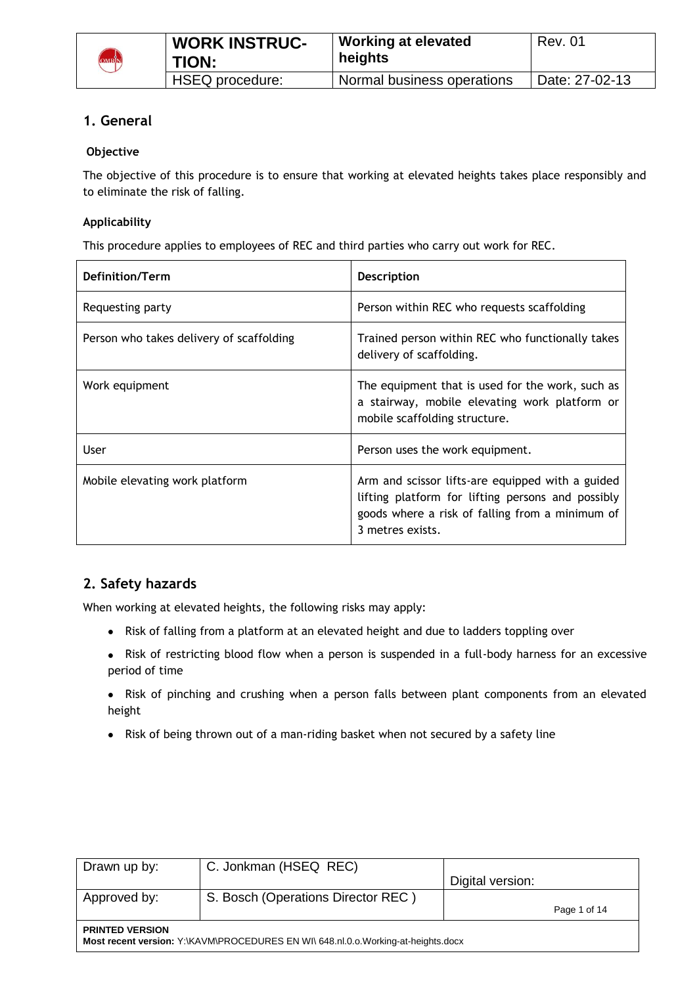

# **1. General**

# **Objective**

The objective of this procedure is to ensure that working at elevated heights takes place responsibly and to eliminate the risk of falling.

# **Applicability**

This procedure applies to employees of REC and third parties who carry out work for REC.

| Definition/Term                          | <b>Description</b>                                                                                                                                                           |
|------------------------------------------|------------------------------------------------------------------------------------------------------------------------------------------------------------------------------|
| Requesting party                         | Person within REC who requests scaffolding                                                                                                                                   |
| Person who takes delivery of scaffolding | Trained person within REC who functionally takes<br>delivery of scaffolding.                                                                                                 |
| Work equipment                           | The equipment that is used for the work, such as<br>a stairway, mobile elevating work platform or<br>mobile scaffolding structure.                                           |
| User                                     | Person uses the work equipment.                                                                                                                                              |
| Mobile elevating work platform           | Arm and scissor lifts-are equipped with a guided<br>lifting platform for lifting persons and possibly<br>goods where a risk of falling from a minimum of<br>3 metres exists. |

# **2. Safety hazards**

When working at elevated heights, the following risks may apply:

- Risk of falling from a platform at an elevated height and due to ladders toppling over
- Risk of restricting blood flow when a person is suspended in a full-body harness for an excessive period of time
- Risk of pinching and crushing when a person falls between plant components from an elevated height
- Risk of being thrown out of a man-riding basket when not secured by a safety line

| Drawn up by:                                                                                                | C. Jonkman (HSEQ REC)              |                  |              |
|-------------------------------------------------------------------------------------------------------------|------------------------------------|------------------|--------------|
|                                                                                                             |                                    | Digital version: |              |
| Approved by:                                                                                                | S. Bosch (Operations Director REC) |                  |              |
|                                                                                                             |                                    |                  | Page 1 of 14 |
| <b>PRINTED VERSION</b><br>Most recent version: Y:\KAVM\PROCEDURES EN WI\ 648.nl.0.o.Working-at-heights.docx |                                    |                  |              |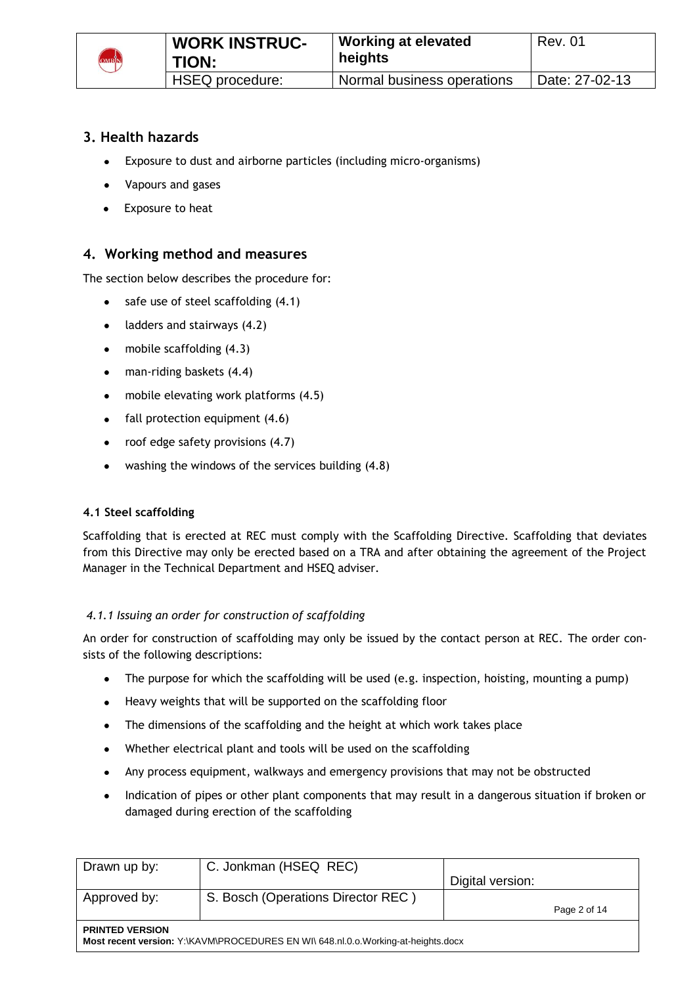

# **3. Health hazards**

- Exposure to dust and airborne particles (including micro-organisms)
- Vapours and gases
- Exposure to heat

# **4. Working method and measures**

The section below describes the procedure for:

- $\bullet$  safe use of steel scaffolding  $(4.1)$
- $\bullet$  ladders and stairways (4.2)
- mobile scaffolding (4.3)
- man-riding baskets (4.4)  $\bullet$
- mobile elevating work platforms (4.5)
- $\bullet$  fall protection equipment (4.6)
- roof edge safety provisions (4.7)  $\bullet$  .
- $\bullet$ washing the windows of the services building (4.8)

# **4.1 Steel scaffolding**

Scaffolding that is erected at REC must comply with the Scaffolding Directive. Scaffolding that deviates from this Directive may only be erected based on a TRA and after obtaining the agreement of the Project Manager in the Technical Department and HSEQ adviser.

# *4.1.1 Issuing an order for construction of scaffolding*

An order for construction of scaffolding may only be issued by the contact person at REC. The order consists of the following descriptions:

- The purpose for which the scaffolding will be used (e.g. inspection, hoisting, mounting a pump)  $\bullet$
- Heavy weights that will be supported on the scaffolding floor  $\bullet$
- The dimensions of the scaffolding and the height at which work takes place
- Whether electrical plant and tools will be used on the scaffolding
- Any process equipment, walkways and emergency provisions that may not be obstructed
- Indication of pipes or other plant components that may result in a dangerous situation if broken or damaged during erection of the scaffolding

| Drawn up by:                                                                                                | C. Jonkman (HSEQ REC)              | Digital version: |              |
|-------------------------------------------------------------------------------------------------------------|------------------------------------|------------------|--------------|
| Approved by:                                                                                                | S. Bosch (Operations Director REC) |                  | Page 2 of 14 |
| <b>PRINTED VERSION</b><br>Most recent version: Y:\KAVM\PROCEDURES EN WI\ 648.nl.0.o.Working-at-heights.docx |                                    |                  |              |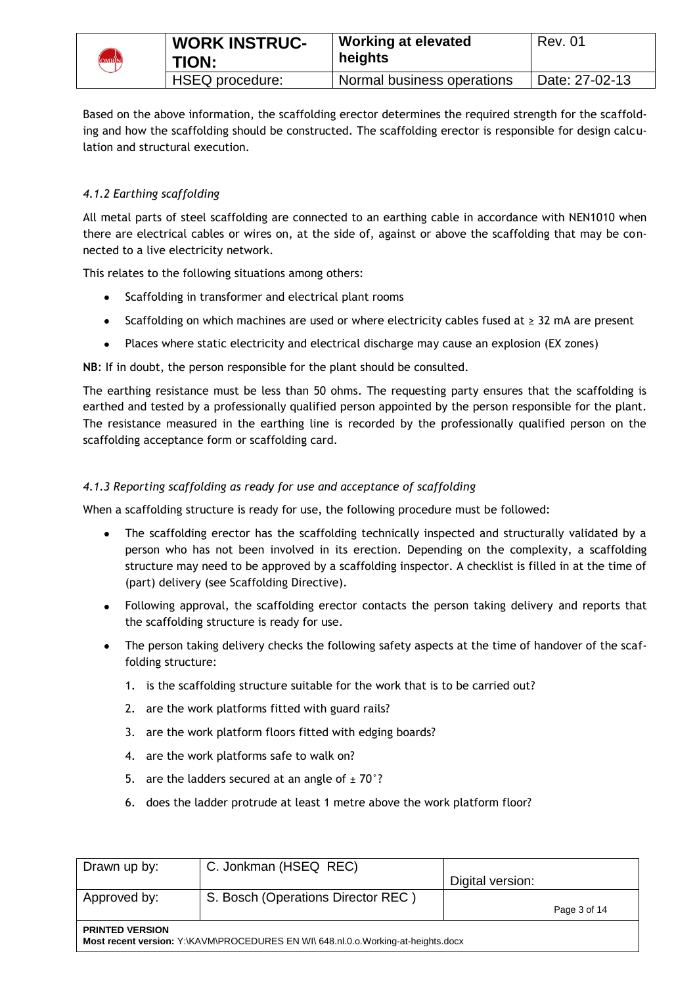

Based on the above information, the scaffolding erector determines the required strength for the scaffolding and how the scaffolding should be constructed. The scaffolding erector is responsible for design calculation and structural execution.

# *4.1.2 Earthing scaffolding*

All metal parts of steel scaffolding are connected to an earthing cable in accordance with NEN1010 when there are electrical cables or wires on, at the side of, against or above the scaffolding that may be connected to a live electricity network.

This relates to the following situations among others:

- Scaffolding in transformer and electrical plant rooms  $\bullet$
- Scaffolding on which machines are used or where electricity cables fused at ≥ 32 mA are present
- $\bullet$ Places where static electricity and electrical discharge may cause an explosion (EX zones)

**NB**: If in doubt, the person responsible for the plant should be consulted.

The earthing resistance must be less than 50 ohms. The requesting party ensures that the scaffolding is earthed and tested by a professionally qualified person appointed by the person responsible for the plant. The resistance measured in the earthing line is recorded by the professionally qualified person on the scaffolding acceptance form or scaffolding card.

#### *4.1.3 Reporting scaffolding as ready for use and acceptance of scaffolding*

When a scaffolding structure is ready for use, the following procedure must be followed:

- The scaffolding erector has the scaffolding technically inspected and structurally validated by a person who has not been involved in its erection. Depending on the complexity, a scaffolding structure may need to be approved by a scaffolding inspector. A checklist is filled in at the time of (part) delivery (see Scaffolding Directive).
- Following approval, the scaffolding erector contacts the person taking delivery and reports that the scaffolding structure is ready for use.
- The person taking delivery checks the following safety aspects at the time of handover of the scaffolding structure:
	- 1. is the scaffolding structure suitable for the work that is to be carried out?
	- 2. are the work platforms fitted with guard rails?
	- 3. are the work platform floors fitted with edging boards?
	- 4. are the work platforms safe to walk on?
	- 5. are the ladders secured at an angle of  $\pm$  70°?
	- 6. does the ladder protrude at least 1 metre above the work platform floor?

| Drawn up by:                                                                                                | C. Jonkman (HSEQ REC)              | Digital version: |              |
|-------------------------------------------------------------------------------------------------------------|------------------------------------|------------------|--------------|
| Approved by:                                                                                                | S. Bosch (Operations Director REC) |                  | Page 3 of 14 |
| <b>PRINTED VERSION</b><br>Most recent version: Y:\KAVM\PROCEDURES EN WI\ 648.nl.0.o.Working-at-heights.docx |                                    |                  |              |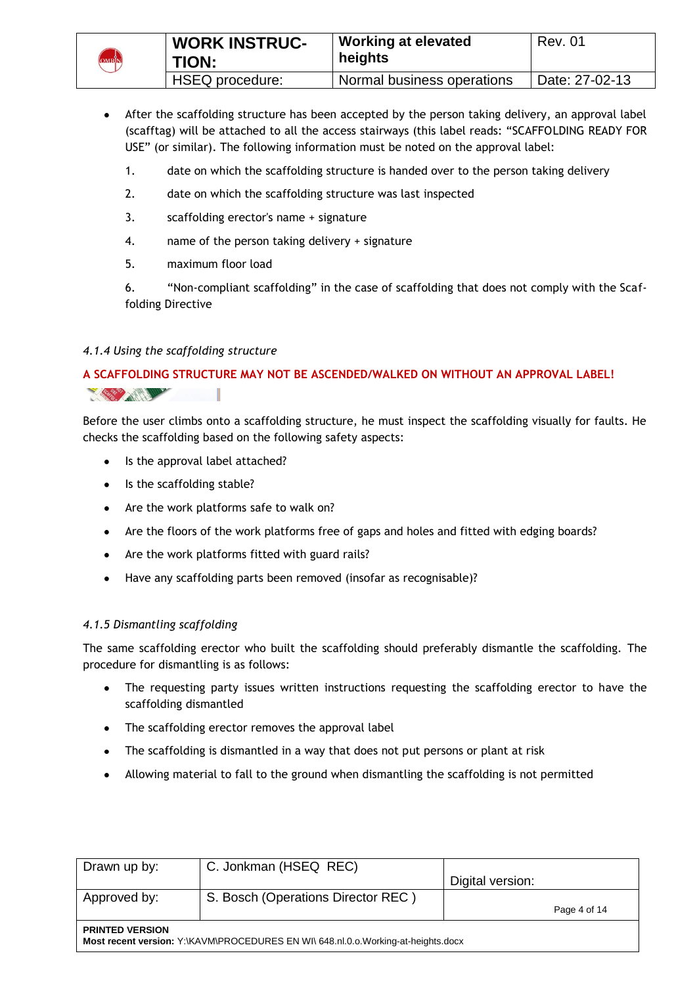

- After the scaffolding structure has been accepted by the person taking delivery, an approval label (scafftag) will be attached to all the access stairways (this label reads: "SCAFFOLDING READY FOR USE" (or similar). The following information must be noted on the approval label:
	- 1. date on which the scaffolding structure is handed over to the person taking delivery
	- 2. date on which the scaffolding structure was last inspected
	- 3. scaffolding erector's name + signature
	- 4. name of the person taking delivery + signature
	- 5. maximum floor load

6. "Non-compliant scaffolding" in the case of scaffolding that does not comply with the Scaffolding Directive

# *4.1.4 Using the scaffolding structure*

**A SCAFFOLDING STRUCTURE MAY NOT BE ASCENDED/WALKED ON WITHOUT AN APPROVAL LABEL!** 



Before the user climbs onto a scaffolding structure, he must inspect the scaffolding visually for faults. He checks the scaffolding based on the following safety aspects:

- Is the approval label attached?
- Is the scaffolding stable?
- Are the work platforms safe to walk on?
- Are the floors of the work platforms free of gaps and holes and fitted with edging boards?
- Are the work platforms fitted with guard rails?
- $\bullet$ Have any scaffolding parts been removed (insofar as recognisable)?

# *4.1.5 Dismantling scaffolding*

The same scaffolding erector who built the scaffolding should preferably dismantle the scaffolding. The procedure for dismantling is as follows:

- $\bullet$ The requesting party issues written instructions requesting the scaffolding erector to have the scaffolding dismantled
- The scaffolding erector removes the approval label
- The scaffolding is dismantled in a way that does not put persons or plant at risk
- Allowing material to fall to the ground when dismantling the scaffolding is not permitted

| Drawn up by:                                                                                                | C. Jonkman (HSEQ REC)              |                  |              |
|-------------------------------------------------------------------------------------------------------------|------------------------------------|------------------|--------------|
|                                                                                                             |                                    | Digital version: |              |
| Approved by:                                                                                                | S. Bosch (Operations Director REC) |                  |              |
|                                                                                                             |                                    |                  | Page 4 of 14 |
| <b>PRINTED VERSION</b><br>Most recent version: Y:\KAVM\PROCEDURES EN WI\ 648.nl.0.o.Working-at-heights.docx |                                    |                  |              |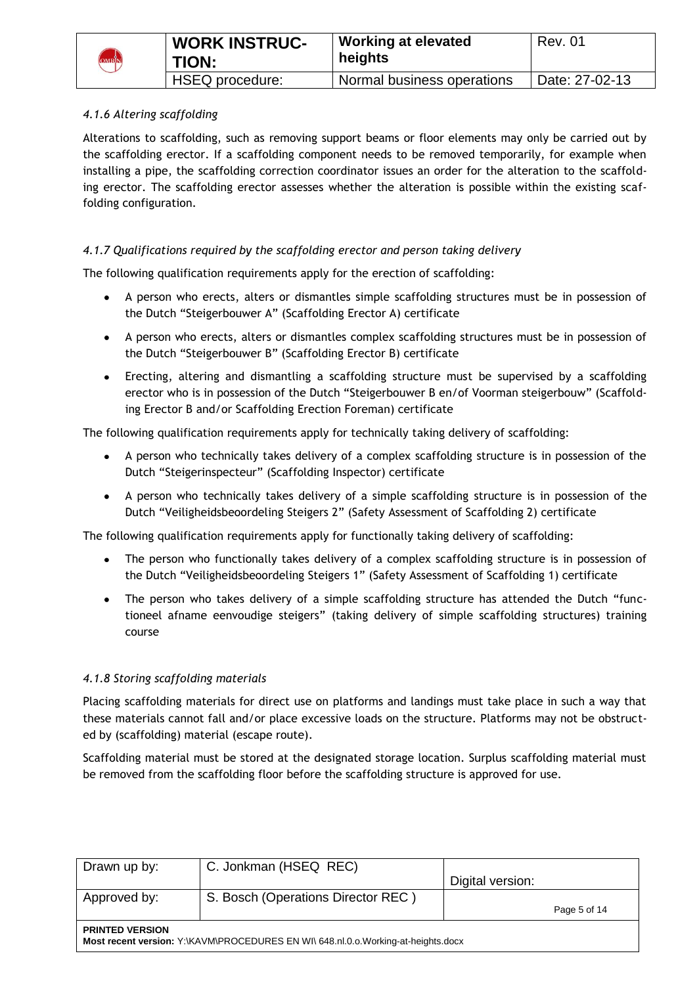

# *4.1.6 Altering scaffolding*

Alterations to scaffolding, such as removing support beams or floor elements may only be carried out by the scaffolding erector. If a scaffolding component needs to be removed temporarily, for example when installing a pipe, the scaffolding correction coordinator issues an order for the alteration to the scaffolding erector. The scaffolding erector assesses whether the alteration is possible within the existing scaffolding configuration.

# *4.1.7 Qualifications required by the scaffolding erector and person taking delivery*

The following qualification requirements apply for the erection of scaffolding:

- A person who erects, alters or dismantles simple scaffolding structures must be in possession of the Dutch "Steigerbouwer A" (Scaffolding Erector A) certificate
- A person who erects, alters or dismantles complex scaffolding structures must be in possession of the Dutch "Steigerbouwer B" (Scaffolding Erector B) certificate
- Erecting, altering and dismantling a scaffolding structure must be supervised by a scaffolding erector who is in possession of the Dutch "Steigerbouwer B en/of Voorman steigerbouw" (Scaffolding Erector B and/or Scaffolding Erection Foreman) certificate

The following qualification requirements apply for technically taking delivery of scaffolding:

- A person who technically takes delivery of a complex scaffolding structure is in possession of the Dutch "Steigerinspecteur" (Scaffolding Inspector) certificate
- A person who technically takes delivery of a simple scaffolding structure is in possession of the  $\bullet$ Dutch "Veiligheidsbeoordeling Steigers 2" (Safety Assessment of Scaffolding 2) certificate

The following qualification requirements apply for functionally taking delivery of scaffolding:

- The person who functionally takes delivery of a complex scaffolding structure is in possession of the Dutch "Veiligheidsbeoordeling Steigers 1" (Safety Assessment of Scaffolding 1) certificate
- The person who takes delivery of a simple scaffolding structure has attended the Dutch "functioneel afname eenvoudige steigers" (taking delivery of simple scaffolding structures) training course

# *4.1.8 Storing scaffolding materials*

Placing scaffolding materials for direct use on platforms and landings must take place in such a way that these materials cannot fall and/or place excessive loads on the structure. Platforms may not be obstructed by (scaffolding) material (escape route).

Scaffolding material must be stored at the designated storage location. Surplus scaffolding material must be removed from the scaffolding floor before the scaffolding structure is approved for use.

| Drawn up by:                                                                                                | C. Jonkman (HSEQ REC)              |                  |              |
|-------------------------------------------------------------------------------------------------------------|------------------------------------|------------------|--------------|
|                                                                                                             |                                    | Digital version: |              |
| Approved by:                                                                                                | S. Bosch (Operations Director REC) |                  |              |
|                                                                                                             |                                    |                  | Page 5 of 14 |
| <b>PRINTED VERSION</b><br>Most recent version: Y:\KAVM\PROCEDURES EN WI\ 648.nl.0.o.Working-at-heights.docx |                                    |                  |              |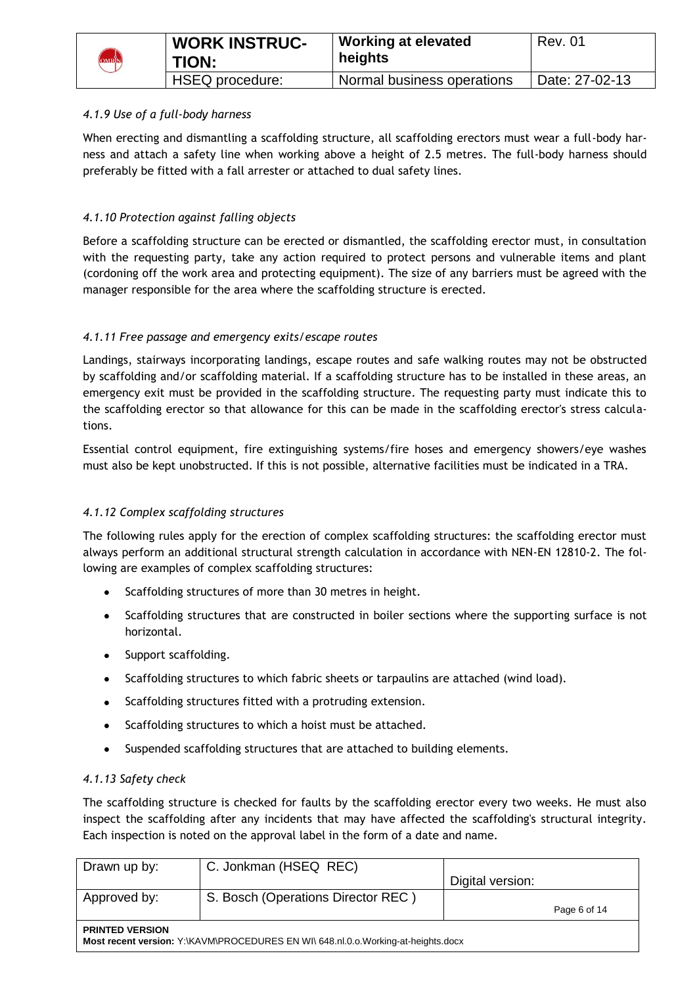| <b>OMRIN</b> | <b>WORK INSTRUC-</b><br>TION: | <b>Working at elevated</b><br>heights | <b>Rev. 01</b> |
|--------------|-------------------------------|---------------------------------------|----------------|
|              | HSEQ procedure:               | Normal business operations            | Date: 27-02-13 |

### *4.1.9 Use of a full-body harness*

When erecting and dismantling a scaffolding structure, all scaffolding erectors must wear a full-body harness and attach a safety line when working above a height of 2.5 metres. The full-body harness should preferably be fitted with a fall arrester or attached to dual safety lines.

### *4.1.10 Protection against falling objects*

Before a scaffolding structure can be erected or dismantled, the scaffolding erector must, in consultation with the requesting party, take any action required to protect persons and vulnerable items and plant (cordoning off the work area and protecting equipment). The size of any barriers must be agreed with the manager responsible for the area where the scaffolding structure is erected.

### *4.1.11 Free passage and emergency exits/escape routes*

Landings, stairways incorporating landings, escape routes and safe walking routes may not be obstructed by scaffolding and/or scaffolding material. If a scaffolding structure has to be installed in these areas, an emergency exit must be provided in the scaffolding structure. The requesting party must indicate this to the scaffolding erector so that allowance for this can be made in the scaffolding erector's stress calculations.

Essential control equipment, fire extinguishing systems/fire hoses and emergency showers/eye washes must also be kept unobstructed. If this is not possible, alternative facilities must be indicated in a TRA.

#### *4.1.12 Complex scaffolding structures*

The following rules apply for the erection of complex scaffolding structures: the scaffolding erector must always perform an additional structural strength calculation in accordance with NEN-EN 12810-2. The following are examples of complex scaffolding structures:

- Scaffolding structures of more than 30 metres in height.
- Scaffolding structures that are constructed in boiler sections where the supporting surface is not horizontal.
- Support scaffolding.
- Scaffolding structures to which fabric sheets or tarpaulins are attached (wind load).
- Scaffolding structures fitted with a protruding extension.
- Scaffolding structures to which a hoist must be attached.
- Suspended scaffolding structures that are attached to building elements.

#### *4.1.13 Safety check*

The scaffolding structure is checked for faults by the scaffolding erector every two weeks. He must also inspect the scaffolding after any incidents that may have affected the scaffolding's structural integrity. Each inspection is noted on the approval label in the form of a date and name.

| Drawn up by:                                                                                                | C. Jonkman (HSEQ REC)              | Digital version: |              |
|-------------------------------------------------------------------------------------------------------------|------------------------------------|------------------|--------------|
| Approved by:                                                                                                | S. Bosch (Operations Director REC) |                  | Page 6 of 14 |
| <b>PRINTED VERSION</b><br>Most recent version: Y:\KAVM\PROCEDURES EN WI\ 648.nl.0.o.Working-at-heights.docx |                                    |                  |              |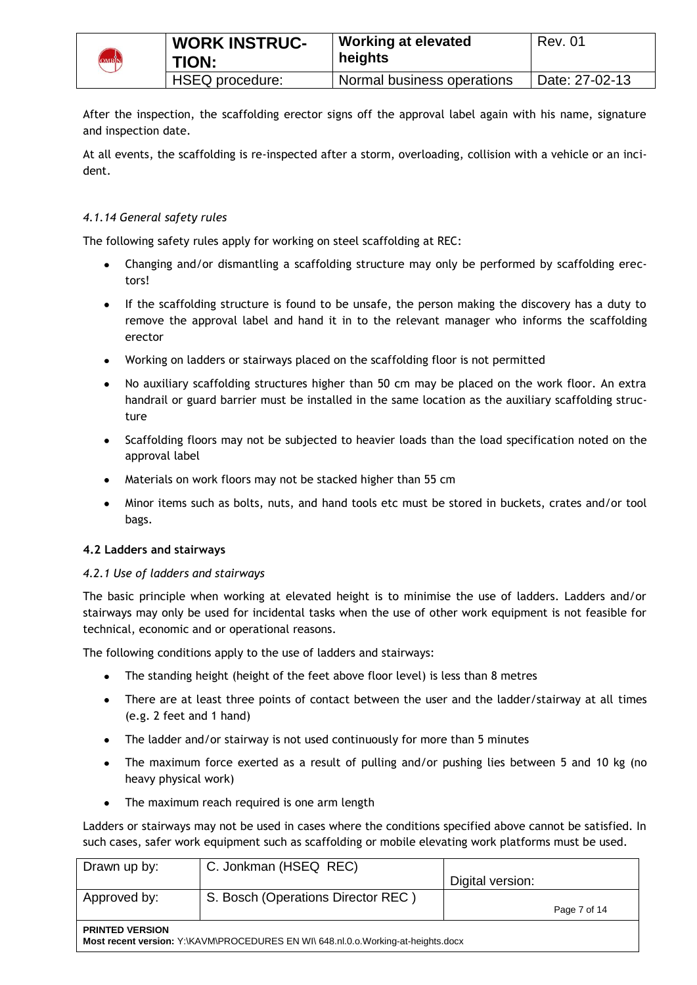

After the inspection, the scaffolding erector signs off the approval label again with his name, signature and inspection date.

At all events, the scaffolding is re-inspected after a storm, overloading, collision with a vehicle or an incident.

### *4.1.14 General safety rules*

The following safety rules apply for working on steel scaffolding at REC:

- Changing and/or dismantling a scaffolding structure may only be performed by scaffolding erec- $\bullet$ tors!
- If the scaffolding structure is found to be unsafe, the person making the discovery has a duty to remove the approval label and hand it in to the relevant manager who informs the scaffolding erector
- Working on ladders or stairways placed on the scaffolding floor is not permitted
- No auxiliary scaffolding structures higher than 50 cm may be placed on the work floor. An extra handrail or guard barrier must be installed in the same location as the auxiliary scaffolding structure
- Scaffolding floors may not be subjected to heavier loads than the load specification noted on the approval label
- Materials on work floors may not be stacked higher than 55 cm
- $\bullet$ Minor items such as bolts, nuts, and hand tools etc must be stored in buckets, crates and/or tool bags.

#### **4.2 Ladders and stairways**

#### *4.2.1 Use of ladders and stairways*

The basic principle when working at elevated height is to minimise the use of ladders. Ladders and/or stairways may only be used for incidental tasks when the use of other work equipment is not feasible for technical, economic and or operational reasons.

The following conditions apply to the use of ladders and stairways:

- The standing height (height of the feet above floor level) is less than 8 metres
- There are at least three points of contact between the user and the ladder/stairway at all times (e.g. 2 feet and 1 hand)
- The ladder and/or stairway is not used continuously for more than 5 minutes
- The maximum force exerted as a result of pulling and/or pushing lies between 5 and 10 kg (no heavy physical work)
- The maximum reach required is one arm length

Ladders or stairways may not be used in cases where the conditions specified above cannot be satisfied. In such cases, safer work equipment such as scaffolding or mobile elevating work platforms must be used.

| Drawn up by:                                                                                                | C. Jonkman (HSEQ REC)              | Digital version: |              |
|-------------------------------------------------------------------------------------------------------------|------------------------------------|------------------|--------------|
| Approved by:                                                                                                | S. Bosch (Operations Director REC) |                  | Page 7 of 14 |
| <b>PRINTED VERSION</b><br>Most recent version: Y:\KAVM\PROCEDURES EN WI\ 648.nl.0.o.Working-at-heights.docx |                                    |                  |              |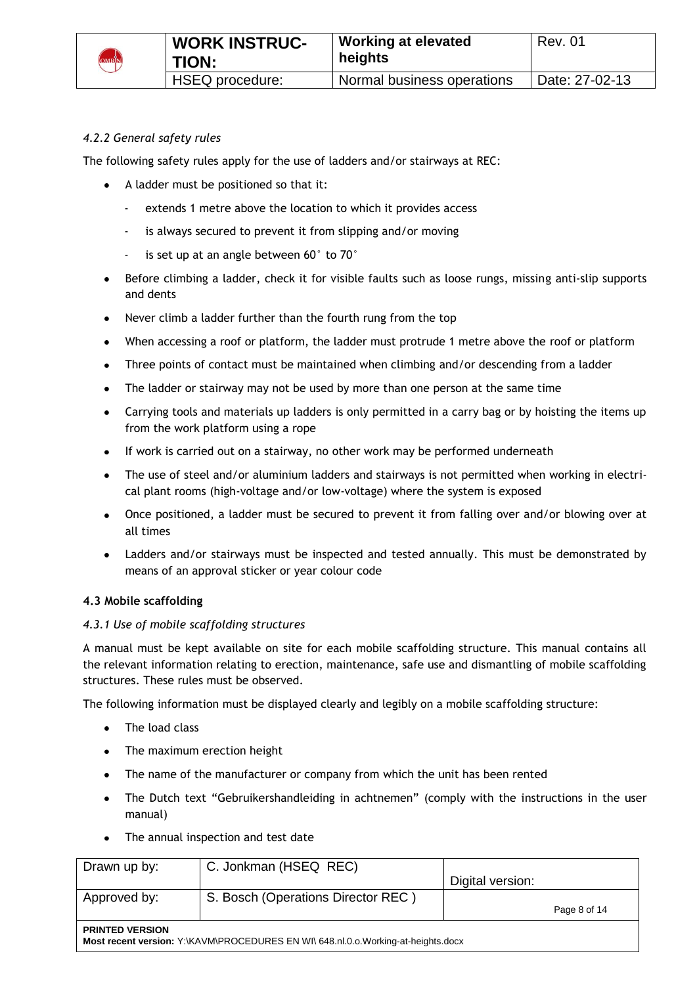

# *4.2.2 General safety rules*

The following safety rules apply for the use of ladders and/or stairways at REC:

- A ladder must be positioned so that it:
	- extends 1 metre above the location to which it provides access
	- is always secured to prevent it from slipping and/or moving
	- is set up at an angle between  $60^{\circ}$  to  $70^{\circ}$
- Before climbing a ladder, check it for visible faults such as loose rungs, missing anti-slip supports and dents
- Never climb a ladder further than the fourth rung from the top
- When accessing a roof or platform, the ladder must protrude 1 metre above the roof or platform  $\bullet$
- Three points of contact must be maintained when climbing and/or descending from a ladder
- $\bullet$ The ladder or stairway may not be used by more than one person at the same time
- Carrying tools and materials up ladders is only permitted in a carry bag or by hoisting the items up from the work platform using a rope
- If work is carried out on a stairway, no other work may be performed underneath
- The use of steel and/or aluminium ladders and stairways is not permitted when working in electrical plant rooms (high-voltage and/or low-voltage) where the system is exposed
- Once positioned, a ladder must be secured to prevent it from falling over and/or blowing over at all times
- Ladders and/or stairways must be inspected and tested annually. This must be demonstrated by means of an approval sticker or year colour code

#### **4.3 Mobile scaffolding**

#### *4.3.1 Use of mobile scaffolding structures*

A manual must be kept available on site for each mobile scaffolding structure. This manual contains all the relevant information relating to erection, maintenance, safe use and dismantling of mobile scaffolding structures. These rules must be observed.

The following information must be displayed clearly and legibly on a mobile scaffolding structure:

- The load class
- The maximum erection height
- The name of the manufacturer or company from which the unit has been rented
- The Dutch text "Gebruikershandleiding in achtnemen" (comply with the instructions in the user manual)
- The annual inspection and test date

| Drawn up by:                                                                                               | C. Jonkman (HSEQ REC)              | Digital version: |              |
|------------------------------------------------------------------------------------------------------------|------------------------------------|------------------|--------------|
| Approved by:                                                                                               | S. Bosch (Operations Director REC) |                  | Page 8 of 14 |
| <b>PRINTED VERSION</b><br>Most recent version: Y:\KAVM\PROCEDURES EN WI\648.nl.0.o.Working-at-heights.docx |                                    |                  |              |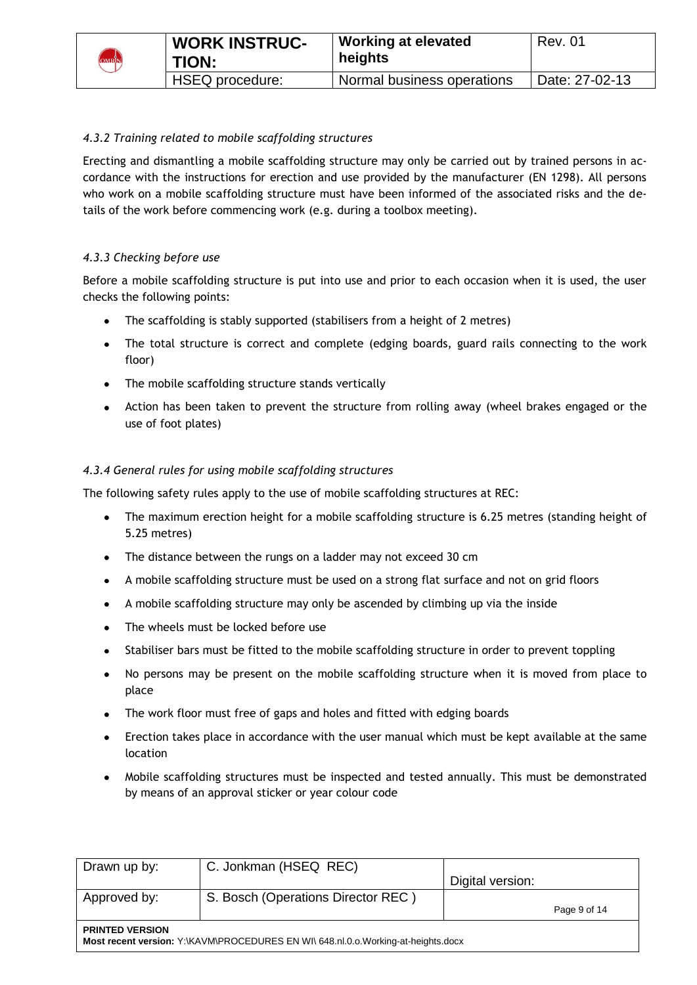

# *4.3.2 Training related to mobile scaffolding structures*

Erecting and dismantling a mobile scaffolding structure may only be carried out by trained persons in accordance with the instructions for erection and use provided by the manufacturer (EN 1298). All persons who work on a mobile scaffolding structure must have been informed of the associated risks and the details of the work before commencing work (e.g. during a toolbox meeting).

#### *4.3.3 Checking before use*

Before a mobile scaffolding structure is put into use and prior to each occasion when it is used, the user checks the following points:

- The scaffolding is stably supported (stabilisers from a height of 2 metres)
- The total structure is correct and complete (edging boards, guard rails connecting to the work floor)
- The mobile scaffolding structure stands vertically
- Action has been taken to prevent the structure from rolling away (wheel brakes engaged or the use of foot plates)

#### *4.3.4 General rules for using mobile scaffolding structures*

The following safety rules apply to the use of mobile scaffolding structures at REC:

- The maximum erection height for a mobile scaffolding structure is 6.25 metres (standing height of 5.25 metres)
- The distance between the rungs on a ladder may not exceed 30 cm
- A mobile scaffolding structure must be used on a strong flat surface and not on grid floors
- $\bullet$ A mobile scaffolding structure may only be ascended by climbing up via the inside
- The wheels must be locked before use  $\bullet$
- Stabiliser bars must be fitted to the mobile scaffolding structure in order to prevent toppling  $\bullet$
- No persons may be present on the mobile scaffolding structure when it is moved from place to place
- The work floor must free of gaps and holes and fitted with edging boards
- Erection takes place in accordance with the user manual which must be kept available at the same location
- Mobile scaffolding structures must be inspected and tested annually. This must be demonstrated by means of an approval sticker or year colour code

| Drawn up by:                                                                                                | C. Jonkman (HSEQ REC)              |                  |              |
|-------------------------------------------------------------------------------------------------------------|------------------------------------|------------------|--------------|
|                                                                                                             |                                    | Digital version: |              |
| Approved by:                                                                                                | S. Bosch (Operations Director REC) |                  |              |
|                                                                                                             |                                    |                  | Page 9 of 14 |
| <b>PRINTED VERSION</b><br>Most recent version: Y:\KAVM\PROCEDURES EN WI\ 648.nl.0.o.Working-at-heights.docx |                                    |                  |              |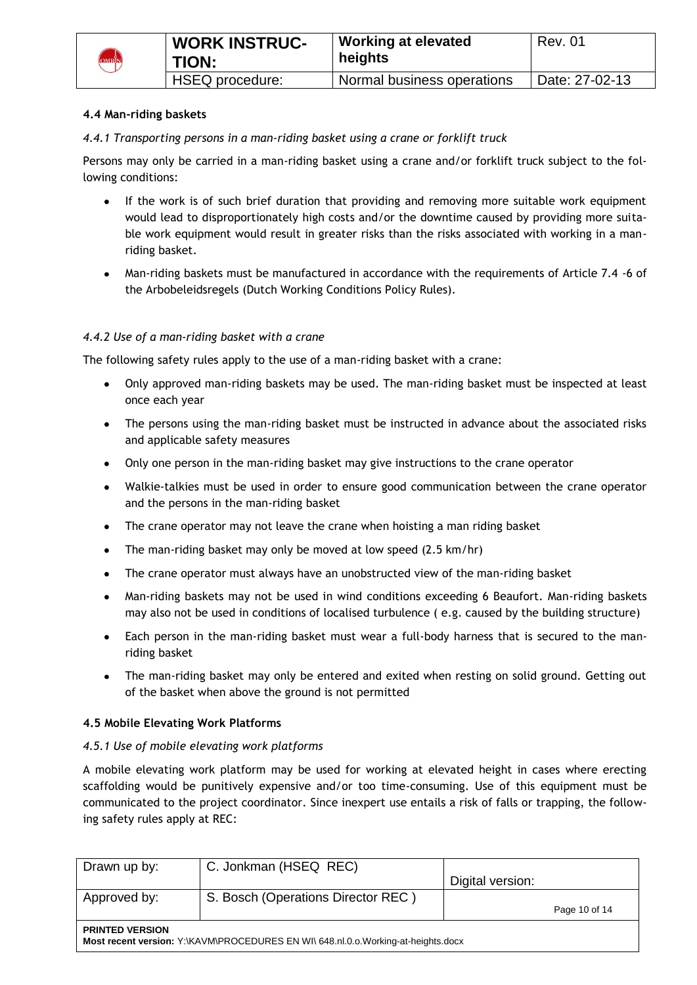

#### **4.4 Man-riding baskets**

# *4.4.1 Transporting persons in a man-riding basket using a crane or forklift truck*

Persons may only be carried in a man-riding basket using a crane and/or forklift truck subject to the following conditions:

- If the work is of such brief duration that providing and removing more suitable work equipment  $\bullet$ would lead to disproportionately high costs and/or the downtime caused by providing more suitable work equipment would result in greater risks than the risks associated with working in a manriding basket.
- Man-riding baskets must be manufactured in accordance with the requirements of Article 7.4 -6 of the Arbobeleidsregels (Dutch Working Conditions Policy Rules).

### *4.4.2 Use of a man-riding basket with a crane*

The following safety rules apply to the use of a man-riding basket with a crane:

- Only approved man-riding baskets may be used. The man-riding basket must be inspected at least once each year
- The persons using the man-riding basket must be instructed in advance about the associated risks and applicable safety measures
- Only one person in the man-riding basket may give instructions to the crane operator
- Walkie-talkies must be used in order to ensure good communication between the crane operator and the persons in the man-riding basket
- The crane operator may not leave the crane when hoisting a man riding basket  $\bullet$
- The man-riding basket may only be moved at low speed (2.5 km/hr)  $\bullet$
- The crane operator must always have an unobstructed view of the man-riding basket
- Man-riding baskets may not be used in wind conditions exceeding 6 Beaufort. Man-riding baskets  $\bullet$ may also not be used in conditions of localised turbulence ( e.g. caused by the building structure)
- Each person in the man-riding basket must wear a full-body harness that is secured to the manriding basket
- The man-riding basket may only be entered and exited when resting on solid ground. Getting out of the basket when above the ground is not permitted

#### **4.5 Mobile Elevating Work Platforms**

#### *4.5.1 Use of mobile elevating work platforms*

A mobile elevating work platform may be used for working at elevated height in cases where erecting scaffolding would be punitively expensive and/or too time-consuming. Use of this equipment must be communicated to the project coordinator. Since inexpert use entails a risk of falls or trapping, the following safety rules apply at REC:

| Drawn up by:                                                                                                | C. Jonkman (HSEQ REC)              | Digital version: |               |
|-------------------------------------------------------------------------------------------------------------|------------------------------------|------------------|---------------|
| Approved by:                                                                                                | S. Bosch (Operations Director REC) |                  | Page 10 of 14 |
| <b>PRINTED VERSION</b><br>Most recent version: Y:\KAVM\PROCEDURES EN WI\ 648.nl.0.o.Working-at-heights.docx |                                    |                  |               |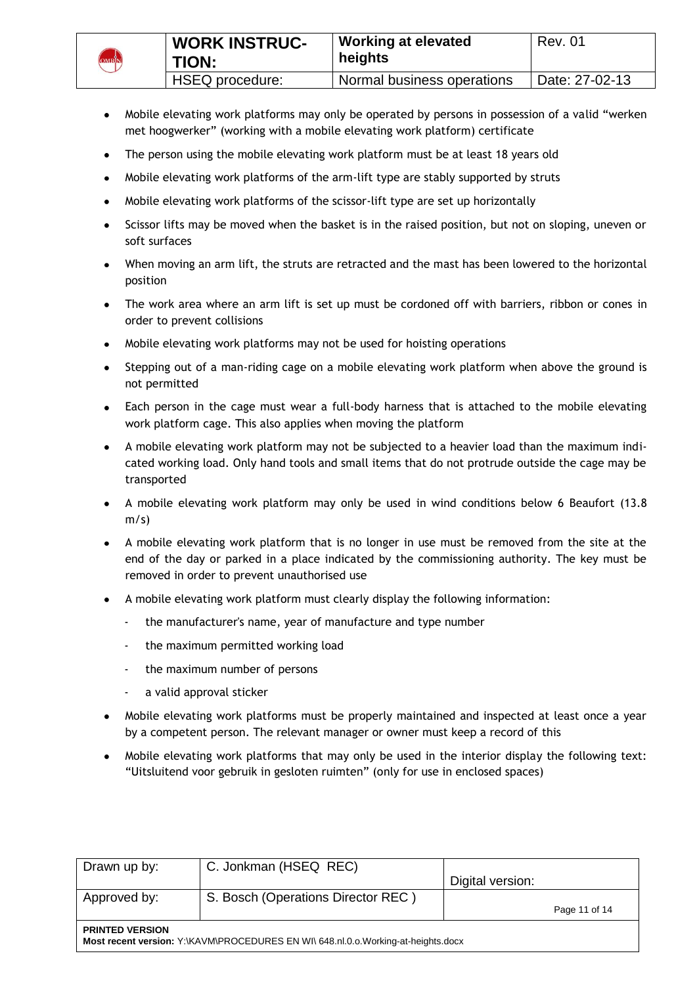

- Mobile elevating work platforms may only be operated by persons in possession of a valid "werken met hoogwerker" (working with a mobile elevating work platform) certificate
- The person using the mobile elevating work platform must be at least 18 years old  $\bullet$
- Mobile elevating work platforms of the arm-lift type are stably supported by struts  $\bullet$
- Mobile elevating work platforms of the scissor-lift type are set up horizontally  $\bullet$
- Scissor lifts may be moved when the basket is in the raised position, but not on sloping, uneven or soft surfaces
- When moving an arm lift, the struts are retracted and the mast has been lowered to the horizontal position
- The work area where an arm lift is set up must be cordoned off with barriers, ribbon or cones in order to prevent collisions
- Mobile elevating work platforms may not be used for hoisting operations
- Stepping out of a man-riding cage on a mobile elevating work platform when above the ground is not permitted
- Each person in the cage must wear a full-body harness that is attached to the mobile elevating work platform cage. This also applies when moving the platform
- A mobile elevating work platform may not be subjected to a heavier load than the maximum indicated working load. Only hand tools and small items that do not protrude outside the cage may be transported
- A mobile elevating work platform may only be used in wind conditions below 6 Beaufort (13.8  $m/s$ )
- A mobile elevating work platform that is no longer in use must be removed from the site at the end of the day or parked in a place indicated by the commissioning authority. The key must be removed in order to prevent unauthorised use
- A mobile elevating work platform must clearly display the following information:
	- the manufacturer's name, year of manufacture and type number
	- the maximum permitted working load
	- the maximum number of persons
	- a valid approval sticker
- Mobile elevating work platforms must be properly maintained and inspected at least once a year by a competent person. The relevant manager or owner must keep a record of this
- Mobile elevating work platforms that may only be used in the interior display the following text:  $\bullet$ "Uitsluitend voor gebruik in gesloten ruimten" (only for use in enclosed spaces)

| Drawn up by:                                                                                                | C. Jonkman (HSEQ REC)              |                  |               |  |  |
|-------------------------------------------------------------------------------------------------------------|------------------------------------|------------------|---------------|--|--|
|                                                                                                             |                                    | Digital version: |               |  |  |
| Approved by:                                                                                                | S. Bosch (Operations Director REC) |                  |               |  |  |
|                                                                                                             |                                    |                  | Page 11 of 14 |  |  |
| <b>PRINTED VERSION</b><br>Most recent version: Y:\KAVM\PROCEDURES EN WI\ 648.nl.0.o.Working-at-heights.docx |                                    |                  |               |  |  |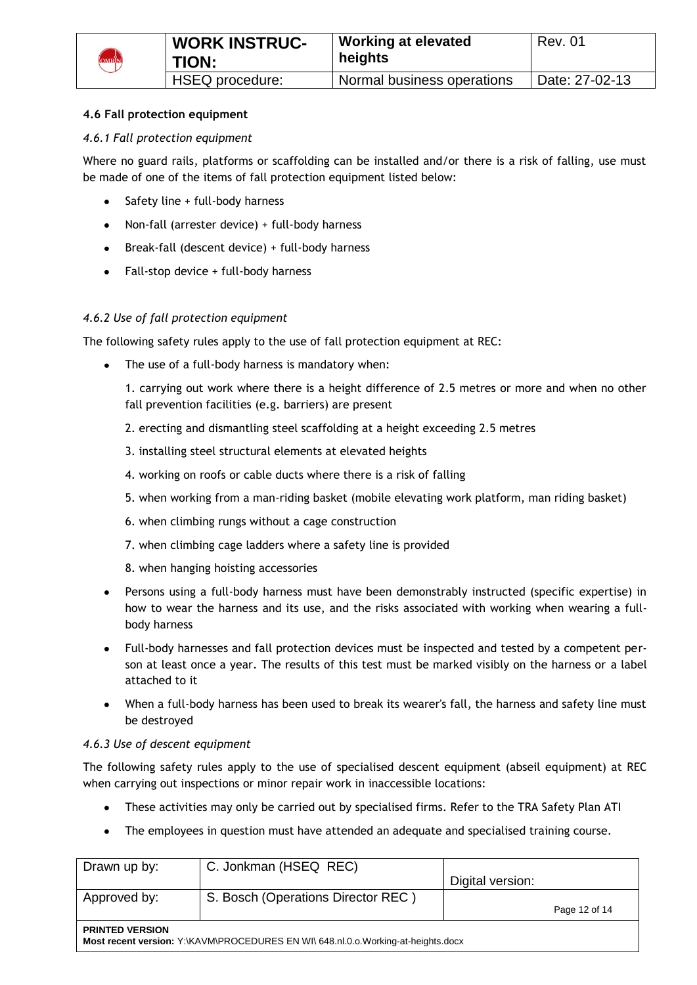

# **4.6 Fall protection equipment**

### *4.6.1 Fall protection equipment*

Where no guard rails, platforms or scaffolding can be installed and/or there is a risk of falling, use must be made of one of the items of fall protection equipment listed below:

- Safety line + full-body harness
- Non-fall (arrester device) + full-body harness  $\bullet$
- Break-fall (descent device) + full-body harness
- Fall-stop device + full-body harness

### *4.6.2 Use of fall protection equipment*

The following safety rules apply to the use of fall protection equipment at REC:

• The use of a full-body harness is mandatory when:

1. carrying out work where there is a height difference of 2.5 metres or more and when no other fall prevention facilities (e.g. barriers) are present

- 2. erecting and dismantling steel scaffolding at a height exceeding 2.5 metres
- 3. installing steel structural elements at elevated heights
- 4. working on roofs or cable ducts where there is a risk of falling
- 5. when working from a man-riding basket (mobile elevating work platform, man riding basket)
- 6. when climbing rungs without a cage construction
- 7. when climbing cage ladders where a safety line is provided
- 8. when hanging hoisting accessories
- Persons using a full-body harness must have been demonstrably instructed (specific expertise) in how to wear the harness and its use, and the risks associated with working when wearing a fullbody harness
- Full-body harnesses and fall protection devices must be inspected and tested by a competent person at least once a year. The results of this test must be marked visibly on the harness or a label attached to it
- When a full-body harness has been used to break its wearer's fall, the harness and safety line must be destroyed

#### *4.6.3 Use of descent equipment*

The following safety rules apply to the use of specialised descent equipment (abseil equipment) at REC when carrying out inspections or minor repair work in inaccessible locations:

- These activities may only be carried out by specialised firms. Refer to the TRA Safety Plan ATI
- The employees in question must have attended an adequate and specialised training course.

| Drawn up by:                                                                                                | C. Jonkman (HSEQ REC)              | Digital version: |               |  |  |
|-------------------------------------------------------------------------------------------------------------|------------------------------------|------------------|---------------|--|--|
| Approved by:                                                                                                | S. Bosch (Operations Director REC) |                  | Page 12 of 14 |  |  |
| <b>PRINTED VERSION</b><br>Most recent version: Y:\KAVM\PROCEDURES EN WI\ 648.nl.0.o.Working-at-heights.docx |                                    |                  |               |  |  |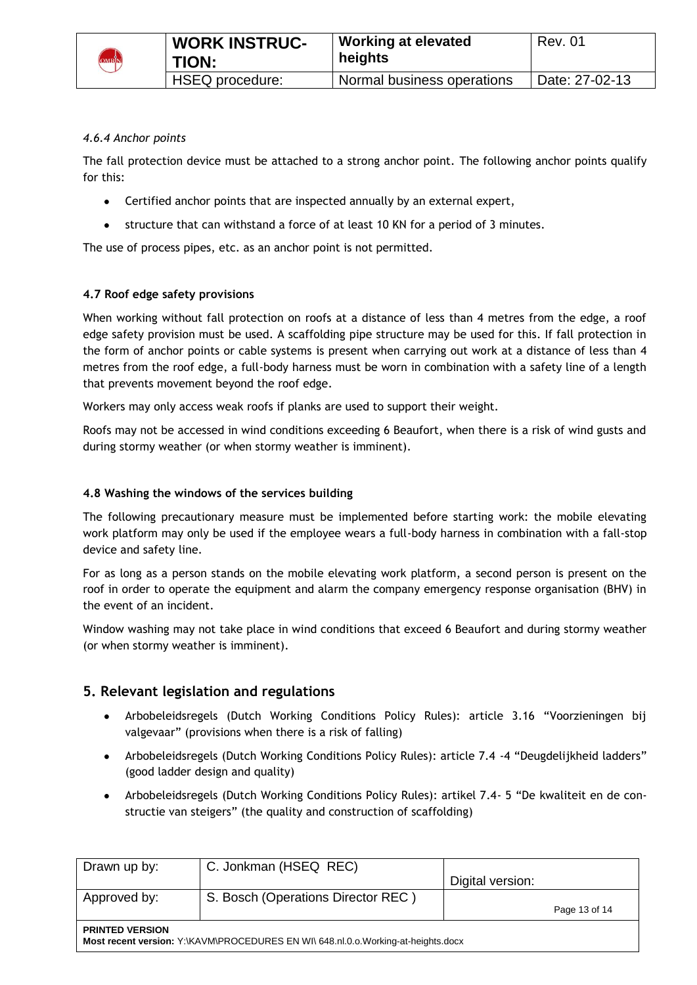

### *4.6.4 Anchor points*

The fall protection device must be attached to a strong anchor point. The following anchor points qualify for this:

- Certified anchor points that are inspected annually by an external expert,
- structure that can withstand a force of at least 10 KN for a period of 3 minutes.  $\bullet$

The use of process pipes, etc. as an anchor point is not permitted.

### **4.7 Roof edge safety provisions**

When working without fall protection on roofs at a distance of less than 4 metres from the edge, a roof edge safety provision must be used. A scaffolding pipe structure may be used for this. If fall protection in the form of anchor points or cable systems is present when carrying out work at a distance of less than 4 metres from the roof edge, a full-body harness must be worn in combination with a safety line of a length that prevents movement beyond the roof edge.

Workers may only access weak roofs if planks are used to support their weight.

Roofs may not be accessed in wind conditions exceeding 6 Beaufort, when there is a risk of wind gusts and during stormy weather (or when stormy weather is imminent).

#### **4.8 Washing the windows of the services building**

The following precautionary measure must be implemented before starting work: the mobile elevating work platform may only be used if the employee wears a full-body harness in combination with a fall-stop device and safety line.

For as long as a person stands on the mobile elevating work platform, a second person is present on the roof in order to operate the equipment and alarm the company emergency response organisation (BHV) in the event of an incident.

Window washing may not take place in wind conditions that exceed 6 Beaufort and during stormy weather (or when stormy weather is imminent).

# **5. Relevant legislation and regulations**

- Arbobeleidsregels (Dutch Working Conditions Policy Rules): article 3.16 "Voorzieningen bij valgevaar" (provisions when there is a risk of falling)
- Arbobeleidsregels (Dutch Working Conditions Policy Rules): article 7.4 -4 "Deugdelijkheid ladders" (good ladder design and quality)
- Arbobeleidsregels (Dutch Working Conditions Policy Rules): artikel 7.4- 5 "De kwaliteit en de constructie van steigers" (the quality and construction of scaffolding)

| Drawn up by:                                                                                                | C. Jonkman (HSEQ REC)              | Digital version: |               |  |  |
|-------------------------------------------------------------------------------------------------------------|------------------------------------|------------------|---------------|--|--|
| Approved by:                                                                                                | S. Bosch (Operations Director REC) |                  | Page 13 of 14 |  |  |
| <b>PRINTED VERSION</b><br>Most recent version: Y:\KAVM\PROCEDURES EN WI\ 648.nl.0.o.Working-at-heights.docx |                                    |                  |               |  |  |